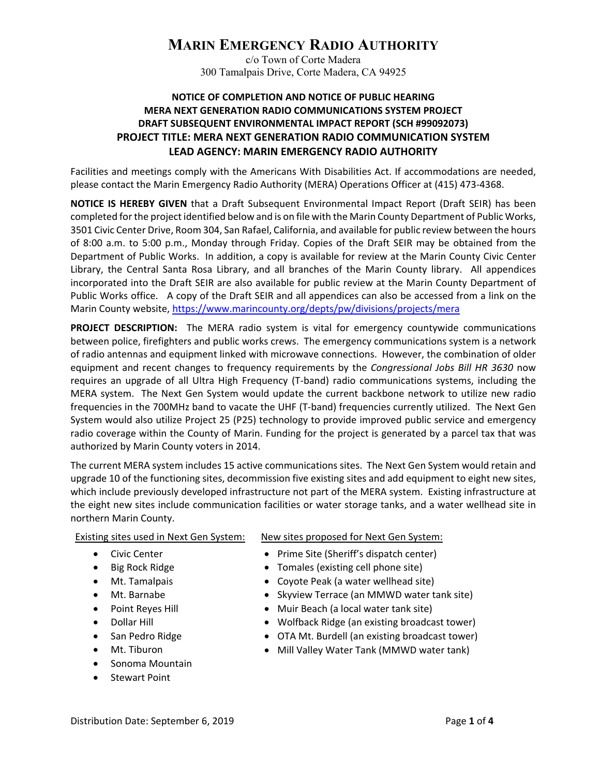## **MARIN EMERGENCY RADIO AUTHORITY**

c/o Town of Corte Madera 300 Tamalpais Drive, Corte Madera, CA 94925

## **NOTICE OF COMPLETION AND NOTICE OF PUBLIC HEARING MERA NEXT GENERATION RADIO COMMUNICATIONS SYSTEM PROJECT DRAFT SUBSEQUENT ENVIRONMENTAL IMPACT REPORT (SCH #99092073) PROJECT TITLE: MERA NEXT GENERATION RADIO COMMUNICATION SYSTEM LEAD AGENCY: MARIN EMERGENCY RADIO AUTHORITY**

Facilities and meetings comply with the Americans With Disabilities Act. If accommodations are needed, please contact the Marin Emergency Radio Authority (MERA) Operations Officer at (415) 473‐4368.

**NOTICE IS HEREBY GIVEN** that a Draft Subsequent Environmental Impact Report (Draft SEIR) has been completed for the project identified below and is on file with the Marin County Department of Public Works, 3501 Civic Center Drive, Room 304, San Rafael, California, and available for public review between the hours of 8:00 a.m. to 5:00 p.m., Monday through Friday. Copies of the Draft SEIR may be obtained from the Department of Public Works. In addition, a copy is available for review at the Marin County Civic Center Library, the Central Santa Rosa Library, and all branches of the Marin County library. All appendices incorporated into the Draft SEIR are also available for public review at the Marin County Department of Public Works office. A copy of the Draft SEIR and all appendices can also be accessed from a link on the Marin County website, https://www.marincounty.org/depts/pw/divisions/projects/mera

**PROJECT DESCRIPTION:** The MERA radio system is vital for emergency countywide communications between police, firefighters and public works crews. The emergency communications system is a network of radio antennas and equipment linked with microwave connections. However, the combination of older equipment and recent changes to frequency requirements by the *Congressional Jobs Bill HR 3630* now requires an upgrade of all Ultra High Frequency (T‐band) radio communications systems, including the MERA system. The Next Gen System would update the current backbone network to utilize new radio frequencies in the 700MHz band to vacate the UHF (T‐band) frequencies currently utilized. The Next Gen System would also utilize Project 25 (P25) technology to provide improved public service and emergency radio coverage within the County of Marin. Funding for the project is generated by a parcel tax that was authorized by Marin County voters in 2014.

The current MERA system includes 15 active communications sites. The Next Gen System would retain and upgrade 10 of the functioning sites, decommission five existing sites and add equipment to eight new sites, which include previously developed infrastructure not part of the MERA system. Existing infrastructure at the eight new sites include communication facilities or water storage tanks, and a water wellhead site in northern Marin County.

Existing sites used in Next Gen System:

- **•** Civic Center
- $\bullet$  Big Rock Ridge
- Mt. Tamalpais
- Mt. Barnabe
- Point Reyes Hill
- Dollar Hill
- San Pedro Ridge
- Mt. Tiburon
- Sonoma Mountain
- Stewart Point

New sites proposed for Next Gen System:

- Prime Site (Sheriff's dispatch center)
- Tomales (existing cell phone site)
- Coyote Peak (a water wellhead site)
- Skyview Terrace (an MMWD water tank site)
- Muir Beach (a local water tank site)
- Wolfback Ridge (an existing broadcast tower)
- OTA Mt. Burdell (an existing broadcast tower)
- Mill Valley Water Tank (MMWD water tank)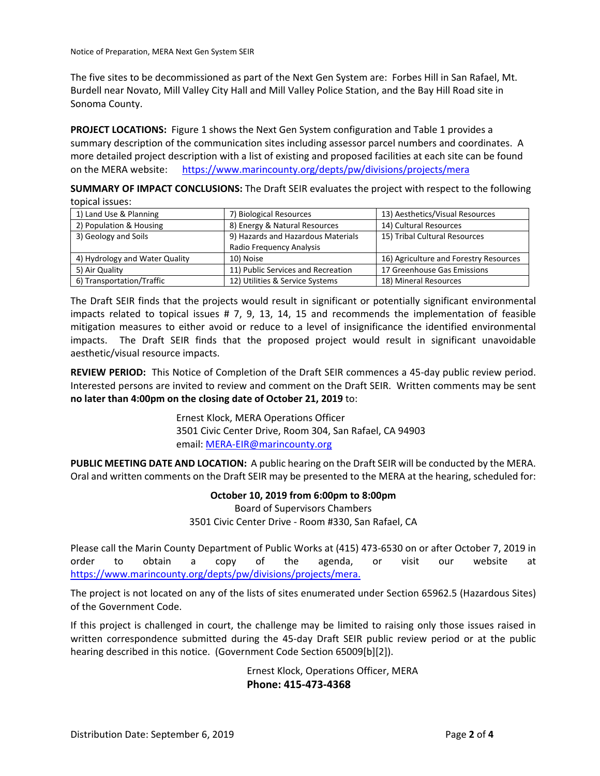Notice of Preparation, MERA Next Gen System SEIR

The five sites to be decommissioned as part of the Next Gen System are: Forbes Hill in San Rafael, Mt. Burdell near Novato, Mill Valley City Hall and Mill Valley Police Station, and the Bay Hill Road site in Sonoma County.

**PROJECT LOCATIONS:**  Figure 1 shows the Next Gen System configuration and Table 1 provides a summary description of the communication sites including assessor parcel numbers and coordinates. A more detailed project description with a list of existing and proposed facilities at each site can be found on the MERA website: https://www.marincounty.org/depts/pw/divisions/projects/mera

**SUMMARY OF IMPACT CONCLUSIONS:** The Draft SEIR evaluates the project with respect to the following topical issues:

| 1) Land Use & Planning         | 7) Biological Resources            | 13) Aesthetics/Visual Resources        |
|--------------------------------|------------------------------------|----------------------------------------|
| 2) Population & Housing        | 8) Energy & Natural Resources      | 14) Cultural Resources                 |
| 3) Geology and Soils           | 9) Hazards and Hazardous Materials | 15) Tribal Cultural Resources          |
|                                | Radio Frequency Analysis           |                                        |
| 4) Hydrology and Water Quality | 10) Noise                          | 16) Agriculture and Forestry Resources |
| 5) Air Quality                 | 11) Public Services and Recreation | 17 Greenhouse Gas Emissions            |
| 6) Transportation/Traffic      | 12) Utilities & Service Systems    | 18) Mineral Resources                  |

The Draft SEIR finds that the projects would result in significant or potentially significant environmental impacts related to topical issues # 7, 9, 13, 14, 15 and recommends the implementation of feasible mitigation measures to either avoid or reduce to a level of insignificance the identified environmental impacts. The Draft SEIR finds that the proposed project would result in significant unavoidable aesthetic/visual resource impacts.

**REVIEW PERIOD:** This Notice of Completion of the Draft SEIR commences a 45‐day public review period. Interested persons are invited to review and comment on the Draft SEIR. Written comments may be sent **no later than 4:00pm on the closing date of October 21, 2019** to:

> Ernest Klock, MERA Operations Officer 3501 Civic Center Drive, Room 304, San Rafael, CA 94903 email: MERA‐EIR@marincounty.org

**PUBLIC MEETING DATE AND LOCATION:** A public hearing on the Draft SEIR will be conducted by the MERA. Oral and written comments on the Draft SEIR may be presented to the MERA at the hearing, scheduled for:

**October 10, 2019 from 6:00pm to 8:00pm** 

Board of Supervisors Chambers 3501 Civic Center Drive ‐ Room #330, San Rafael, CA

Please call the Marin County Department of Public Works at (415) 473‐6530 on or after October 7, 2019 in order to obtain a copy of the agenda, or visit our website at https://www.marincounty.org/depts/pw/divisions/projects/mera.

The project is not located on any of the lists of sites enumerated under Section 65962.5 (Hazardous Sites) of the Government Code.

If this project is challenged in court, the challenge may be limited to raising only those issues raised in written correspondence submitted during the 45-day Draft SEIR public review period or at the public hearing described in this notice. (Government Code Section 65009[b][2]).

> Ernest Klock, Operations Officer, MERA **Phone: 415‐473‐4368**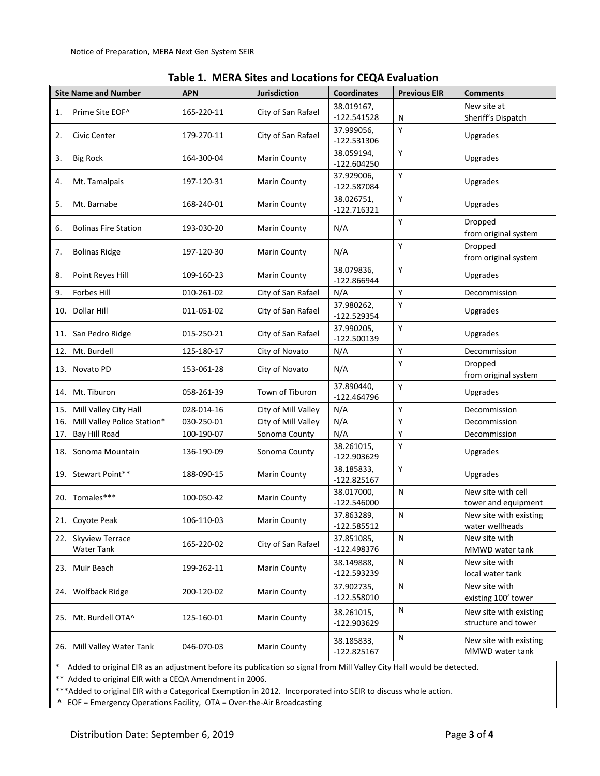| <b>Site Name and Number</b>              | <b>APN</b> | <b>Jurisdiction</b> | <b>Coordinates</b>          | <b>Previous EIR</b> | <b>Comments</b>                               |
|------------------------------------------|------------|---------------------|-----------------------------|---------------------|-----------------------------------------------|
| Prime Site EOF^<br>1.                    | 165-220-11 | City of San Rafael  | 38.019167,<br>$-122.541528$ | N                   | New site at<br>Sheriff's Dispatch             |
| 2.<br>Civic Center                       | 179-270-11 | City of San Rafael  | 37.999056,<br>$-122.531306$ | Y                   | Upgrades                                      |
| 3.<br><b>Big Rock</b>                    | 164-300-04 | Marin County        | 38.059194,<br>$-122.604250$ | Y                   | Upgrades                                      |
| Mt. Tamalpais<br>4.                      | 197-120-31 | <b>Marin County</b> | 37.929006,<br>-122.587084   | Y                   | Upgrades                                      |
| 5.<br>Mt. Barnabe                        | 168-240-01 | <b>Marin County</b> | 38.026751,<br>$-122.716321$ | Y                   | Upgrades                                      |
| 6.<br><b>Bolinas Fire Station</b>        | 193-030-20 | Marin County        | N/A                         | Y                   | Dropped<br>from original system               |
| <b>Bolinas Ridge</b><br>7.               | 197-120-30 | <b>Marin County</b> | N/A                         | Y                   | Dropped<br>from original system               |
| 8.<br>Point Reyes Hill                   | 109-160-23 | <b>Marin County</b> | 38.079836,<br>$-122.866944$ | Y                   | Upgrades                                      |
| 9.<br>Forbes Hill                        | 010-261-02 | City of San Rafael  | N/A                         | Y                   | Decommission                                  |
| 10. Dollar Hill                          | 011-051-02 | City of San Rafael  | 37.980262,<br>$-122.529354$ | Y                   | Upgrades                                      |
| 11. San Pedro Ridge                      | 015-250-21 | City of San Rafael  | 37.990205,<br>$-122.500139$ | Y                   | Upgrades                                      |
| 12. Mt. Burdell                          | 125-180-17 | City of Novato      | N/A                         | Υ                   | Decommission                                  |
| 13. Novato PD                            | 153-061-28 | City of Novato      | N/A                         | Y                   | Dropped<br>from original system               |
| 14. Mt. Tiburon                          | 058-261-39 | Town of Tiburon     | 37.890440,<br>$-122.464796$ | Y                   | Upgrades                                      |
| Mill Valley City Hall<br>15.             | 028-014-16 | City of Mill Valley | N/A                         | Y                   | Decommission                                  |
| Mill Valley Police Station*<br>16.       | 030-250-01 | City of Mill Valley | N/A                         | Y                   | Decommission                                  |
| 17. Bay Hill Road                        | 100-190-07 | Sonoma County       | N/A                         | Y                   | Decommission                                  |
| 18. Sonoma Mountain                      | 136-190-09 | Sonoma County       | 38.261015,<br>$-122.903629$ | Y                   | Upgrades                                      |
| 19. Stewart Point**                      | 188-090-15 | <b>Marin County</b> | 38.185833,<br>$-122.825167$ | Y                   | Upgrades                                      |
| 20. Tomales***                           | 100-050-42 | <b>Marin County</b> | 38.017000,<br>$-122.546000$ | N                   | New site with cell<br>tower and equipment     |
| 21. Covote Peak                          | 106-110-03 | Marin County        | 37.863289,<br>$-122.585512$ | N                   | New site with existing<br>water wellheads     |
| 22. Skyview Terrace<br><b>Water Tank</b> | 165-220-02 | City of San Rafael  | 37.851085,<br>$-122.498376$ | N                   | New site with<br>MMWD water tank              |
| 23. Muir Beach                           | 199-262-11 | Marin County        | 38.149888,<br>-122.593239   | N                   | New site with<br>local water tank             |
| 24. Wolfback Ridge                       | 200-120-02 | <b>Marin County</b> | 37.902735,<br>$-122.558010$ | N                   | New site with<br>existing 100' tower          |
| 25. Mt. Burdell OTA^                     | 125-160-01 | <b>Marin County</b> | 38.261015,<br>-122.903629   | N                   | New site with existing<br>structure and tower |
| 26. Mill Valley Water Tank               | 046-070-03 | <b>Marin County</b> | 38.185833,<br>$-122.825167$ | N                   | New site with existing<br>MMWD water tank     |

|  |  |  | Table 1. MERA Sites and Locations for CEQA Evaluation |
|--|--|--|-------------------------------------------------------|
|--|--|--|-------------------------------------------------------|

\* Added to original EIR as an adjustment before its publication so signal from Mill Valley City Hall would be detected.

\*\* Added to original EIR with a CEQA Amendment in 2006.

\*\*\*Added to original EIR with a Categorical Exemption in 2012. Incorporated into SEIR to discuss whole action.

^ EOF = Emergency Operations Facility, OTA = Over‐the‐Air Broadcasting